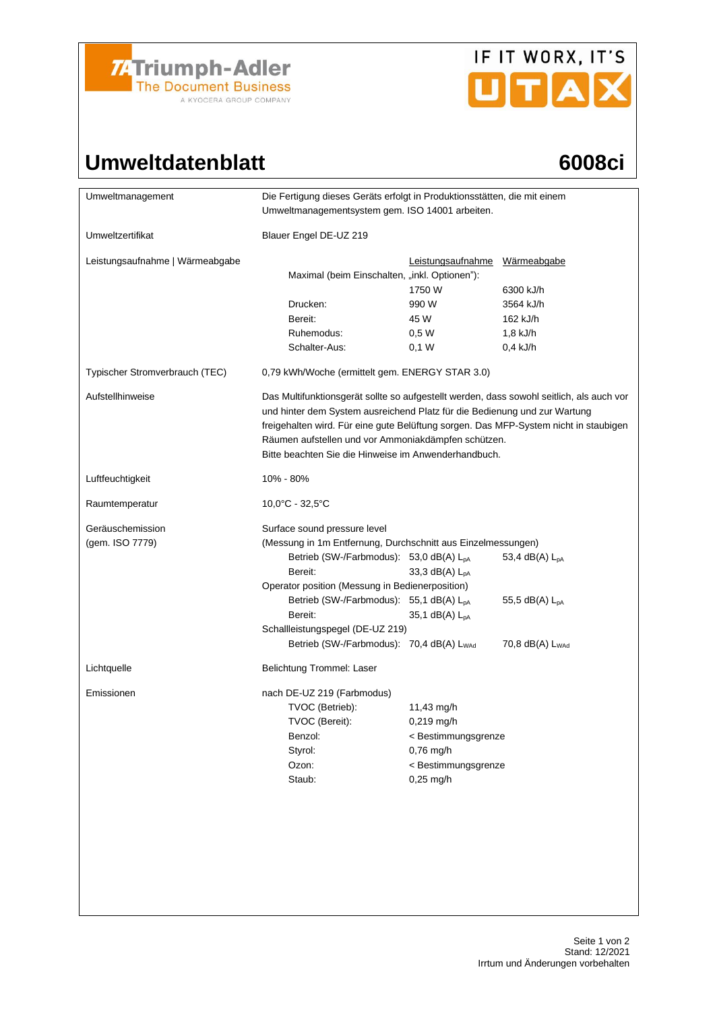

# IF IT WORX, IT'S

## Umweltdatenblatt 6008ci

| Umweltmanagement                | Die Fertigung dieses Geräts erfolgt in Produktionsstätten, die mit einem<br>Umweltmanagementsystem gem. ISO 14001 arbeiten.                                                                                                                                                                                                                                                  |                                  |                             |  |
|---------------------------------|------------------------------------------------------------------------------------------------------------------------------------------------------------------------------------------------------------------------------------------------------------------------------------------------------------------------------------------------------------------------------|----------------------------------|-----------------------------|--|
|                                 |                                                                                                                                                                                                                                                                                                                                                                              |                                  |                             |  |
| Umweltzertifikat                | Blauer Engel DE-UZ 219                                                                                                                                                                                                                                                                                                                                                       |                                  |                             |  |
| Leistungsaufnahme   Wärmeabgabe | Maximal (beim Einschalten, "inkl. Optionen"):                                                                                                                                                                                                                                                                                                                                | Leistungsaufnahme                | Wärmeabgabe                 |  |
|                                 |                                                                                                                                                                                                                                                                                                                                                                              | 1750 W                           | 6300 kJ/h                   |  |
|                                 | Drucken:                                                                                                                                                                                                                                                                                                                                                                     | 990 W                            | 3564 kJ/h                   |  |
|                                 | Bereit:                                                                                                                                                                                                                                                                                                                                                                      | 45 W                             | 162 kJ/h                    |  |
|                                 | Ruhemodus:                                                                                                                                                                                                                                                                                                                                                                   | 0.5W                             | 1,8 kJ/h                    |  |
|                                 | Schalter-Aus:                                                                                                                                                                                                                                                                                                                                                                | 0,1 W                            | $0.4$ kJ/h                  |  |
| Typischer Stromverbrauch (TEC)  | 0,79 kWh/Woche (ermittelt gem. ENERGY STAR 3.0)                                                                                                                                                                                                                                                                                                                              |                                  |                             |  |
| Aufstellhinweise                | Das Multifunktionsgerät sollte so aufgestellt werden, dass sowohl seitlich, als auch vor<br>und hinter dem System ausreichend Platz für die Bedienung und zur Wartung<br>freigehalten wird. Für eine gute Belüftung sorgen. Das MFP-System nicht in staubigen<br>Räumen aufstellen und vor Ammoniakdämpfen schützen.<br>Bitte beachten Sie die Hinweise im Anwenderhandbuch. |                                  |                             |  |
| Luftfeuchtigkeit                | 10% - 80%                                                                                                                                                                                                                                                                                                                                                                    |                                  |                             |  |
| Raumtemperatur                  | 10,0°C - 32,5°C                                                                                                                                                                                                                                                                                                                                                              |                                  |                             |  |
| Geräuschemission                | Surface sound pressure level                                                                                                                                                                                                                                                                                                                                                 |                                  |                             |  |
| (gem. ISO 7779)                 | (Messung in 1m Entfernung, Durchschnitt aus Einzelmessungen)                                                                                                                                                                                                                                                                                                                 |                                  |                             |  |
|                                 | Betrieb (SW-/Farbmodus): 53,0 dB(A) L <sub>pA</sub>                                                                                                                                                                                                                                                                                                                          |                                  | 53,4 dB(A) L <sub>pA</sub>  |  |
|                                 | Bereit:                                                                                                                                                                                                                                                                                                                                                                      | 33,3 dB(A) $L_{pA}$              |                             |  |
|                                 | Operator position (Messung in Bedienerposition)                                                                                                                                                                                                                                                                                                                              |                                  |                             |  |
|                                 | Betrieb (SW-/Farbmodus): 55,1 dB(A) L <sub>pA</sub>                                                                                                                                                                                                                                                                                                                          |                                  | 55,5 dB(A) $L_{pA}$         |  |
|                                 | Bereit:                                                                                                                                                                                                                                                                                                                                                                      | 35,1 $dB(A)$ $L_{pA}$            |                             |  |
|                                 | Schallleistungspegel (DE-UZ 219)<br>Betrieb (SW-/Farbmodus): 70,4 dB(A) L <sub>WAd</sub>                                                                                                                                                                                                                                                                                     |                                  | 70,8 dB(A) L <sub>WAd</sub> |  |
|                                 |                                                                                                                                                                                                                                                                                                                                                                              |                                  |                             |  |
| Lichtquelle                     | Belichtung Trommel: Laser                                                                                                                                                                                                                                                                                                                                                    |                                  |                             |  |
| Emissionen                      | nach DE-UZ 219 (Farbmodus)                                                                                                                                                                                                                                                                                                                                                   |                                  |                             |  |
|                                 | TVOC (Betrieb):                                                                                                                                                                                                                                                                                                                                                              | 11,43 mg/h                       |                             |  |
|                                 | TVOC (Bereit):                                                                                                                                                                                                                                                                                                                                                               | $0,219$ mg/h                     |                             |  |
|                                 | Benzol:                                                                                                                                                                                                                                                                                                                                                                      | < Bestimmungsgrenze<br>0,76 mg/h |                             |  |
|                                 | Styrol:                                                                                                                                                                                                                                                                                                                                                                      |                                  |                             |  |
|                                 | Ozon:                                                                                                                                                                                                                                                                                                                                                                        | < Bestimmungsgrenze              |                             |  |
|                                 | Staub:                                                                                                                                                                                                                                                                                                                                                                       | $0,25$ mg/h                      |                             |  |
|                                 |                                                                                                                                                                                                                                                                                                                                                                              |                                  |                             |  |
|                                 |                                                                                                                                                                                                                                                                                                                                                                              |                                  |                             |  |
|                                 |                                                                                                                                                                                                                                                                                                                                                                              |                                  |                             |  |
|                                 |                                                                                                                                                                                                                                                                                                                                                                              |                                  |                             |  |
|                                 |                                                                                                                                                                                                                                                                                                                                                                              |                                  |                             |  |